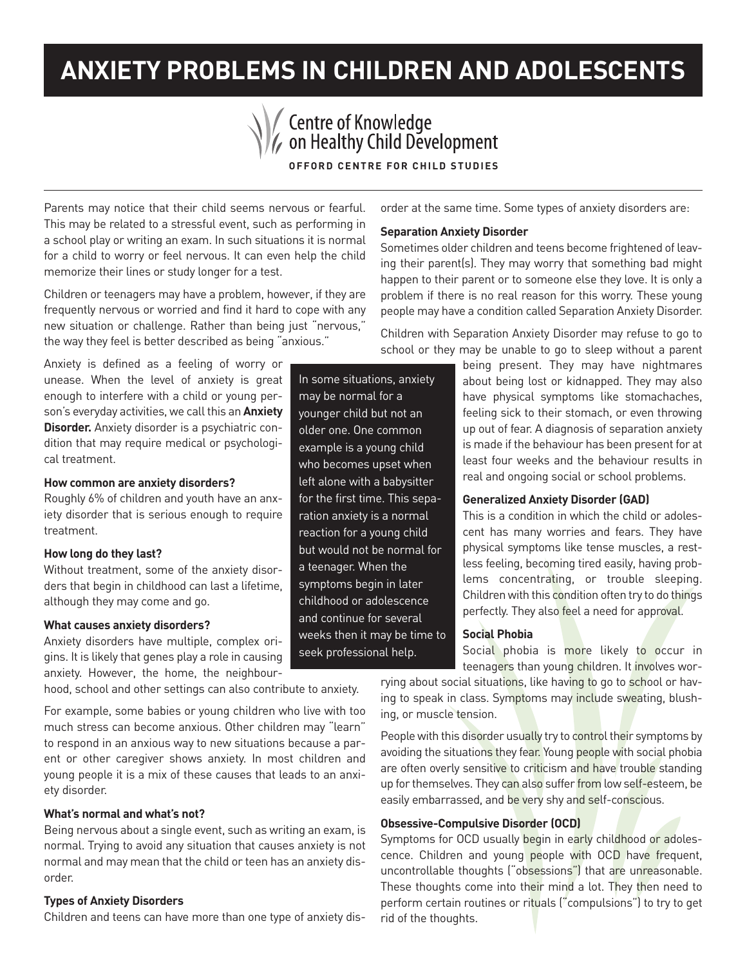# **ANXIETY PROBLEMS IN CHILDREN AND ADOLESCENTS**

Centre of Knowledge<br>
Con Healthy Child Development

In some situations, anxiety may be normal for a younger child but not an older one. One common example is a young child who becomes upset when left alone with a babysitter for the first time. This separation anxiety is a normal reaction for a young child but would not be normal for a teenager. When the symptoms begin in later childhood or adolescence and continue for several weeks then it may be time to seek professional help.

**OFFORD CENTRE FOR CHILD STUDIES**

Parents may notice that their child seems nervous or fearful. This may be related to a stressful event, such as performing in a school play or writing an exam. In such situations it is normal for a child to worry or feel nervous. It can even help the child memorize their lines or study longer for a test.

Children or teenagers may have a problem, however, if they are frequently nervous or worried and find it hard to cope with any new situation or challenge. Rather than being just "nervous," the way they feel is better described as being "anxious."

Anxiety is defined as a feeling of worry or unease. When the level of anxiety is great enough to interfere with a child or young person's everyday activities, we call this an **Anxiety Disorder.** Anxiety disorder is a psychiatric condition that may require medical or psychological treatment.

# **How common are anxiety disorders?**

Roughly 6% of children and youth have an anxiety disorder that is serious enough to require treatment.

### **How long do they last?**

Without treatment, some of the anxiety disorders that begin in childhood can last a lifetime, although they may come and go.

## **What causes anxiety disorders?**

Anxiety disorders have multiple, complex origins. It is likely that genes play a role in causing anxiety. However, the home, the neighbour-

hood, school and other settings can also contribute to anxiety.

For example, some babies or young children who live with too much stress can become anxious. Other children may "learn" to respond in an anxious way to new situations because a parent or other caregiver shows anxiety. In most children and young people it is a mix of these causes that leads to an anxiety disorder.

### **What's normal and what's not?**

Being nervous about a single event, such as writing an exam, is normal. Trying to avoid any situation that causes anxiety is not normal and may mean that the child or teen has an anxiety disorder.

### **Types of Anxiety Disorders**

Children and teens can have more than one type of anxiety dis-

order at the same time. Some types of anxiety disorders are:

#### **Separation Anxiety Disorder**

Sometimes older children and teens become frightened of leaving their parent(s). They may worry that something bad might happen to their parent or to someone else they love. It is only a problem if there is no real reason for this worry. These young people may have a condition called Separation Anxiety Disorder.

Children with Separation Anxiety Disorder may refuse to go to school or they may be unable to go to sleep without a parent

> being present. They may have nightmares about being lost or kidnapped. They may also have physical symptoms like stomachaches, feeling sick to their stomach, or even throwing up out of fear. A diagnosis of separation anxiety is made if the behaviour has been present for at least four weeks and the behaviour results in real and ongoing social or school problems.

## **Generalized Anxiety Disorder (GAD)**

This is a condition in which the child or adolescent has many worries and fears. They have physical symptoms like tense muscles, a restless feeling, becoming tired easily, having problems concentrating, or trouble sleeping. Children with this condition often try to do things perfectly. They also feel a need for approval.

## **Social Phobia**

Social phobia is more likely to occur in teenagers than young children. It involves wor-

rying about social situations, like having to go to school or having to speak in class. Symptoms may include sweating, blushing, or muscle tension.

People with this disorder usually try to control their symptoms by avoiding the situations they fear. Young people with social phobia are often overly sensitive to criticism and have trouble standing up for themselves. They can also suffer from low self-esteem, be easily embarrassed, and be very shy and self-conscious.

# **Obsessive-Compulsive Disorder (OCD)**

Symptoms for OCD usually begin in early childhood or adolescence. Children and young people with OCD have frequent, uncontrollable thoughts ("obsessions") that are unreasonable. These thoughts come into their mind a lot. They then need to perform certain routines or rituals ("compulsions") to try to get rid of the thoughts.